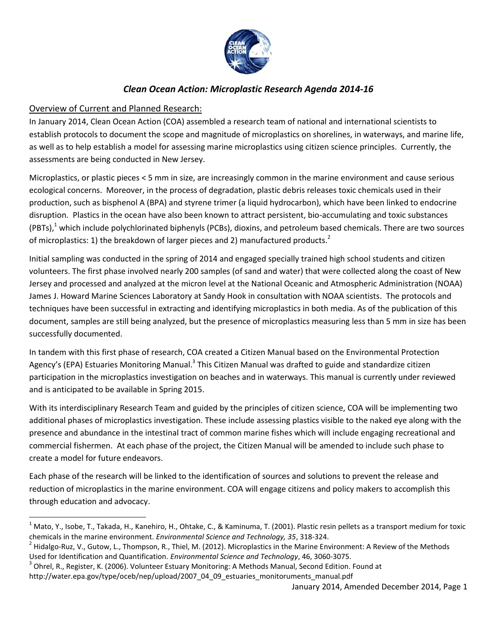

# *Clean Ocean Action: Microplastic Research Agenda 2014-16*

## Overview of Current and Planned Research:

 $\overline{\phantom{a}}$ 

In January 2014, Clean Ocean Action (COA) assembled a research team of national and international scientists to establish protocols to document the scope and magnitude of microplastics on shorelines, in waterways, and marine life, as well as to help establish a model for assessing marine microplastics using citizen science principles. Currently, the assessments are being conducted in New Jersey.

Microplastics, or plastic pieces < 5 mm in size, are increasingly common in the marine environment and cause serious ecological concerns. Moreover, in the process of degradation, plastic debris releases toxic chemicals used in their production, such as bisphenol A (BPA) and styrene trimer (a liquid hydrocarbon), which have been linked to endocrine disruption. Plastics in the ocean have also been known to attract persistent, bio-accumulating and toxic substances (PBTs), $1$  which include polychlorinated biphenyls (PCBs), dioxins, and petroleum based chemicals. There are two sources of microplastics: 1) the breakdown of larger pieces and 2) manufactured products.<sup>2</sup>

Initial sampling was conducted in the spring of 2014 and engaged specially trained high school students and citizen volunteers. The first phase involved nearly 200 samples (of sand and water) that were collected along the coast of New Jersey and processed and analyzed at the micron level at the National Oceanic and Atmospheric Administration (NOAA) James J. Howard Marine Sciences Laboratory at Sandy Hook in consultation with NOAA scientists. The protocols and techniques have been successful in extracting and identifying microplastics in both media. As of the publication of this document, samples are still being analyzed, but the presence of microplastics measuring less than 5 mm in size has been successfully documented.

In tandem with this first phase of research, COA created a Citizen Manual based on the Environmental Protection Agency's (EPA) Estuaries Monitoring Manual.<sup>3</sup> This Citizen Manual was drafted to guide and standardize citizen participation in the microplastics investigation on beaches and in waterways. This manual is currently under reviewed and is anticipated to be available in Spring 2015.

With its interdisciplinary Research Team and guided by the principles of citizen science, COA will be implementing two additional phases of microplastics investigation. These include assessing plastics visible to the naked eye along with the presence and abundance in the intestinal tract of common marine fishes which will include engaging recreational and commercial fishermen. At each phase of the project, the Citizen Manual will be amended to include such phase to create a model for future endeavors.

Each phase of the research will be linked to the identification of sources and solutions to prevent the release and reduction of microplastics in the marine environment. COA will engage citizens and policy makers to accomplish this through education and advocacy.

http://water.epa.gov/type/oceb/nep/upload/2007\_04\_09\_estuaries\_monitoruments\_manual.pdf

January 2014, Amended December 2014, Page 1

 $^1$  Mato, Y., Isobe, T., Takada, H., Kanehiro, H., Ohtake, C., & Kaminuma, T. (2001). Plastic resin pellets as a transport medium for toxic chemicals in the marine environment. *Environmental Science and Technology, 35*, 318-324.

 $^2$  Hidalgo-Ruz, V., Gutow, L., Thompson, R., Thiel, M. (2012). Microplastics in the Marine Environment: A Review of the Methods Used for Identification and Quantification. *Environmental Science and Technology*, 46, 3060-3075.

<sup>&</sup>lt;sup>3</sup> Ohrel, R., Register, K. (2006). Volunteer Estuary Monitoring: A Methods Manual, Second Edition. Found at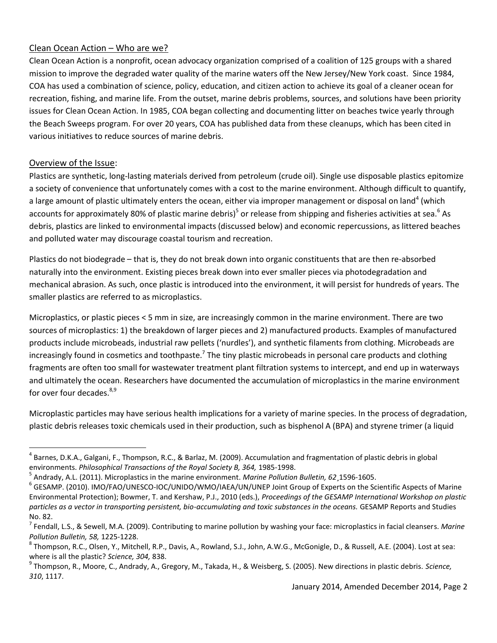#### Clean Ocean Action – Who are we?

Clean Ocean Action is a nonprofit, ocean advocacy organization comprised of a coalition of 125 groups with a shared mission to improve the degraded water quality of the marine waters off the New Jersey/New York coast. Since 1984, COA has used a combination of science, policy, education, and citizen action to achieve its goal of a cleaner ocean for recreation, fishing, and marine life. From the outset, marine debris problems, sources, and solutions have been priority issues for Clean Ocean Action. In 1985, COA began collecting and documenting litter on beaches twice yearly through the Beach Sweeps program. For over 20 years, COA has published data from these cleanups, which has been cited in various initiatives to reduce sources of marine debris.

### Overview of the Issue:

 $\overline{\phantom{a}}$ 

Plastics are synthetic, long-lasting materials derived from petroleum (crude oil). Single use disposable plastics epitomize a society of convenience that unfortunately comes with a cost to the marine environment. Although difficult to quantify, a large amount of plastic ultimately enters the ocean, either via improper management or disposal on land<sup>4</sup> (which accounts for approximately 80% of plastic marine debris)<sup>5</sup> or release from shipping and fisheries activities at sea.<sup>6</sup> As debris, plastics are linked to environmental impacts (discussed below) and economic repercussions, as littered beaches and polluted water may discourage coastal tourism and recreation.

Plastics do not biodegrade – that is, they do not break down into organic constituents that are then re-absorbed naturally into the environment. Existing pieces break down into ever smaller pieces via photodegradation and mechanical abrasion. As such, once plastic is introduced into the environment, it will persist for hundreds of years. The smaller plastics are referred to as microplastics.

Microplastics, or plastic pieces < 5 mm in size, are increasingly common in the marine environment. There are two sources of microplastics: 1) the breakdown of larger pieces and 2) manufactured products. Examples of manufactured products include microbeads, industrial raw pellets ('nurdles'), and synthetic filaments from clothing. Microbeads are increasingly found in cosmetics and toothpaste.<sup>7</sup> The tiny plastic microbeads in personal care products and clothing fragments are often too small for wastewater treatment plant filtration systems to intercept, and end up in waterways and ultimately the ocean. Researchers have documented the accumulation of microplastics in the marine environment for over four decades. $8,9$ 

Microplastic particles may have serious health implications for a variety of marine species. In the process of degradation, plastic debris releases toxic chemicals used in their production, such as bisphenol A (BPA) and styrene trimer (a liquid

<sup>&</sup>lt;sup>4</sup> Barnes, D.K.A., Galgani, F., Thompson, R.C., & Barlaz, M. (2009). Accumulation and fragmentation of plastic debris in global environments. *Philosophical Transactions of the Royal Society B, 364,* 1985-1998.

<sup>5</sup> Andrady, A.L. (2011). Microplastics in the marine environment. *Marine Pollution Bulletin, 62*¸1596-1605.

 $^6$  GESAMP. (2010). IMO/FAO/UNESCO-IOC/UNIDO/WMO/IAEA/UN/UNEP Joint Group of Experts on the Scientific Aspects of Marine Environmental Protection); Bowmer, T. and Kershaw, P.J., 2010 (eds.), *Proceedings of the GESAMP International Workshop on plastic particles as a vector in transporting persistent, bio-accumulating and toxic substances in the oceans.* GESAMP Reports and Studies No. 82.

<sup>7</sup> Fendall, L.S., & Sewell, M.A. (2009). Contributing to marine pollution by washing your face: microplastics in facial cleansers. *Marine Pollution Bulletin, 58,* 1225-1228.

 $^8$  Thompson, R.C., Olsen, Y., Mitchell, R.P., Davis, A., Rowland, S.J., John, A.W.G., McGonigle, D., & Russell, A.E. (2004). Lost at sea: where is all the plastic? *Science, 304,* 838.

<sup>9</sup> Thompson, R., Moore, C., Andrady, A., Gregory, M., Takada, H., & Weisberg, S. (2005). New directions in plastic debris. *Science, 310*, 1117.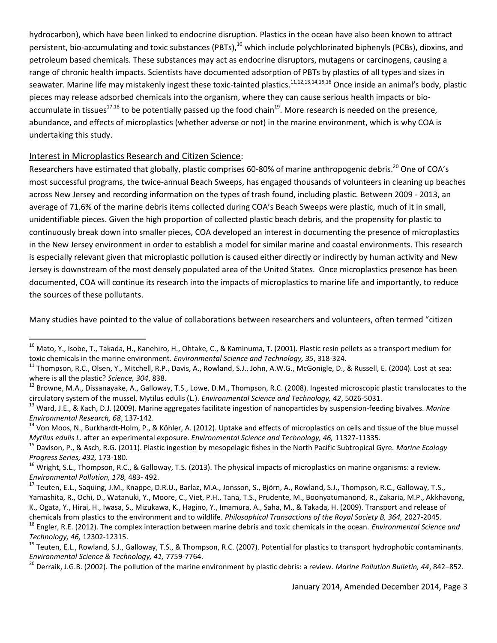hydrocarbon), which have been linked to endocrine disruption. Plastics in the ocean have also been known to attract persistent, bio-accumulating and toxic substances (PBTs), $^{10}$  which include polychlorinated biphenyls (PCBs), dioxins, and petroleum based chemicals. These substances may act as endocrine disruptors, mutagens or carcinogens, causing a range of chronic health impacts. Scientists have documented adsorption of PBTs by plastics of all types and sizes in seawater. Marine life may mistakenly ingest these toxic-tainted plastics.<sup>11,12,13,14,15,16</sup> Once inside an animal's body, plastic pieces may release adsorbed chemicals into the organism, where they can cause serious health impacts or bioaccumulate in tissues<sup>17,18</sup> to be potentially passed up the food chain<sup>19</sup>. More research is needed on the presence, abundance, and effects of microplastics (whether adverse or not) in the marine environment, which is why COA is undertaking this study.

#### Interest in Microplastics Research and Citizen Science:

 $\overline{\phantom{a}}$ 

Researchers have estimated that globally, plastic comprises 60-80% of marine anthropogenic debris.<sup>20</sup> One of COA's most successful programs, the twice-annual Beach Sweeps, has engaged thousands of volunteers in cleaning up beaches across New Jersey and recording information on the types of trash found, including plastic. Between 2009 - 2013, an average of 71.6% of the marine debris items collected during COA's Beach Sweeps were plastic, much of it in small, unidentifiable pieces. Given the high proportion of collected plastic beach debris, and the propensity for plastic to continuously break down into smaller pieces, COA developed an interest in documenting the presence of microplastics in the New Jersey environment in order to establish a model for similar marine and coastal environments. This research is especially relevant given that microplastic pollution is caused either directly or indirectly by human activity and New Jersey is downstream of the most densely populated area of the United States. Once microplastics presence has been documented, COA will continue its research into the impacts of microplastics to marine life and importantly, to reduce the sources of these pollutants.

Many studies have pointed to the value of collaborations between researchers and volunteers, often termed "citizen

January 2014, Amended December 2014, Page 3

<sup>&</sup>lt;sup>10</sup> Mato, Y., Isobe, T., Takada, H., Kanehiro, H., Ohtake, C., & Kaminuma, T. (2001). Plastic resin pellets as a transport medium for toxic chemicals in the marine environment. *Environmental Science and Technology, 35*, 318-324.

<sup>11</sup> Thompson, R.C., Olsen, Y., Mitchell, R.P., Davis, A., Rowland, S.J., John, A.W.G., McGonigle, D., & Russell, E. (2004). Lost at sea: where is all the plastic? *Science, 304*, 838.

 $^{12}$  Browne, M.A., Dissanayake, A., Galloway, T.S., Lowe, D.M., Thompson, R.C. (2008). Ingested microscopic plastic translocates to the circulatory system of the mussel, Mytilus edulis (L.). *Environmental Science and Technology, 42*, 5026-5031.

<sup>13</sup> Ward, J.E., & Kach, D.J. (2009). Marine aggregates facilitate ingestion of nanoparticles by suspension-feeding bivalves. *Marine Environmental Research, 68*, 137-142.

<sup>&</sup>lt;sup>14</sup> Von Moos, N., Burkhardt-Holm, P., & Köhler, A. (2012). Uptake and effects of microplastics on cells and tissue of the blue mussel *Mytilus edulis L.* after an experimental exposure. *Environmental Science and Technology, 46,* 11327-11335.

<sup>15</sup> Davison, P., & Asch, R.G. (2011). Plastic ingestion by mesopelagic fishes in the North Pacific Subtropical Gyre. *Marine Ecology Progress Series, 432,* 173-180.

<sup>&</sup>lt;sup>16</sup> Wright, S.L., Thompson, R.C., & Galloway, T.S. (2013). The physical impacts of microplastics on marine organisms: a review. *Environmental Pollution, 178,* 483- 492.

<sup>&</sup>lt;sup>17</sup> Teuten, E.L., Saquing, J.M., Knappe, D.R.U., Barlaz, M.A., Jonsson, S., Björn, A., Rowland, S.J., Thompson, R.C., Galloway, T.S., Yamashita, R., Ochi, D., Watanuki, Y., Moore, C., Viet, P.H., Tana, T.S., Prudente, M., Boonyatumanond, R., Zakaria, M.P., Akkhavong, K., Ogata, Y., Hirai, H., Iwasa, S., Mizukawa, K., Hagino, Y., Imamura, A., Saha, M., & Takada, H. (2009). Transport and release of chemicals from plastics to the environment and to wildlife. *Philosophical Transactions of the Royal Society B, 364,* 2027-2045. <sup>18</sup> Engler, R.E. (2012). The complex interaction between marine debris and toxic chemicals in the ocean. *Environmental Science and Technology, 46,* 12302-12315.

<sup>&</sup>lt;sup>19</sup> Teuten, E.L., Rowland, S.J., Galloway, T.S., & Thompson, R.C. (2007). Potential for plastics to transport hydrophobic contaminants. *Environmental Science & Technology, 41,* 7759-7764.

<sup>20</sup> Derraik, J.G.B. (2002). The pollution of the marine environment by plastic debris: a review. *Marine Pollution Bulletin, 44*, 842–852.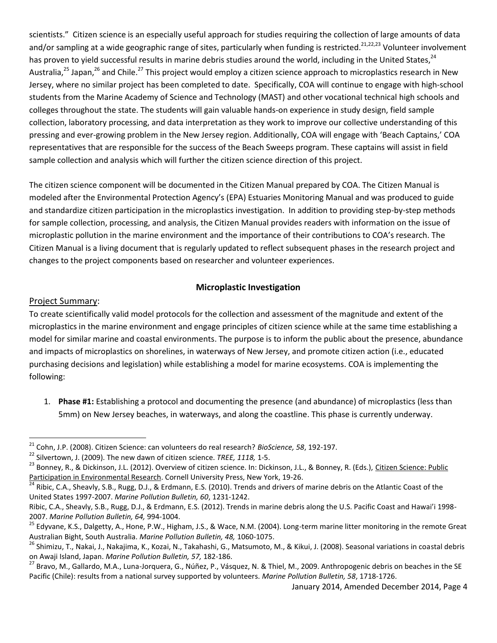scientists." Citizen science is an especially useful approach for studies requiring the collection of large amounts of data and/or sampling at a wide geographic range of sites, particularly when funding is restricted.<sup>21,22,23</sup> Volunteer involvement has proven to yield successful results in marine debris studies around the world, including in the United States, <sup>24</sup> Australia,<sup>25</sup> Japan,<sup>26</sup> and Chile.<sup>27</sup> This project would employ a citizen science approach to microplastics research in New Jersey, where no similar project has been completed to date. Specifically, COA will continue to engage with high-school students from the Marine Academy of Science and Technology (MAST) and other vocational technical high schools and colleges throughout the state. The students will gain valuable hands-on experience in study design, field sample collection, laboratory processing, and data interpretation as they work to improve our collective understanding of this pressing and ever-growing problem in the New Jersey region. Additionally, COA will engage with 'Beach Captains,' COA representatives that are responsible for the success of the Beach Sweeps program. These captains will assist in field sample collection and analysis which will further the citizen science direction of this project.

The citizen science component will be documented in the Citizen Manual prepared by COA. The Citizen Manual is modeled after the Environmental Protection Agency's (EPA) Estuaries Monitoring Manual and was produced to guide and standardize citizen participation in the microplastics investigation. In addition to providing step-by-step methods for sample collection, processing, and analysis, the Citizen Manual provides readers with information on the issue of microplastic pollution in the marine environment and the importance of their contributions to COA's research. The Citizen Manual is a living document that is regularly updated to reflect subsequent phases in the research project and changes to the project components based on researcher and volunteer experiences.

#### **Microplastic Investigation**

#### Project Summary:

To create scientifically valid model protocols for the collection and assessment of the magnitude and extent of the microplastics in the marine environment and engage principles of citizen science while at the same time establishing a model for similar marine and coastal environments. The purpose is to inform the public about the presence, abundance and impacts of microplastics on shorelines, in waterways of New Jersey, and promote citizen action (i.e., educated purchasing decisions and legislation) while establishing a model for marine ecosystems. COA is implementing the following:

1. **Phase #1:** Establishing a protocol and documenting the presence (and abundance) of microplastics (less than 5mm) on New Jersey beaches, in waterways, and along the coastline. This phase is currently underway.

 $\overline{a}$ <sup>21</sup> Cohn, J.P. (2008). Citizen Science: can volunteers do real research? *BioScience, 58*, 192-197.

<sup>22</sup> Silvertown, J. (2009). The new dawn of citizen science. *TREE, 1118,* 1-5.

<sup>&</sup>lt;sup>23</sup> Bonnev, R., & Dickinson, J.L. (2012). Overview of citizen science. In: Dickinson, J.L., & Bonney, R. (Eds.), <u>Citizen Science: Public</u> Participation in Environmental Research. Cornell University Press, New York, 19-26.

<sup>&</sup>lt;sup>24</sup> Ribic, C.A., Sheavly, S.B., Rugg, D.J., & Erdmann, E.S. (2010). Trends and drivers of marine debris on the Atlantic Coast of the United States 1997-2007. *Marine Pollution Bulletin, 60*, 1231-1242.

Ribic, C.A., Sheavly, S.B., Rugg, D.J., & Erdmann, E.S. (2012). Trends in marine debris along the U.S. Pacific Coast and Hawai'i 1998- 2007. *Marine Pollution Bulletin, 64,* 994-1004.

<sup>&</sup>lt;sup>25</sup> Edyvane, K.S., Dalgetty, A., Hone, P.W., Higham, J.S., & Wace, N.M. (2004). Long-term marine litter monitoring in the remote Great Australian Bight, South Australia. *Marine Pollution Bulletin, 48,* 1060-1075.

<sup>&</sup>lt;sup>26</sup> Shimizu, T., Nakai, J., Nakajima, K., Kozai, N., Takahashi, G., Matsumoto, M., & Kikui, J. (2008). Seasonal variations in coastal debris on Awaji Island, Japan. *Marine Pollution Bulletin, 57,* 182-186.

<sup>&</sup>lt;sup>27</sup> Bravo, M., Gallardo, M.A., Luna-Jorquera, G., Núñez, P., Vásquez, N. & Thiel, M., 2009. Anthropogenic debris on beaches in the SE Pacific (Chile): results from a national survey supported by volunteers. *Marine Pollution Bulletin, 58*, 1718-1726.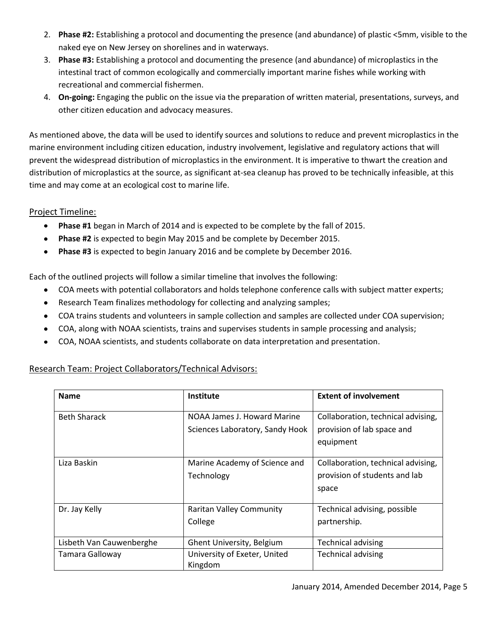- 2. **Phase #2:** Establishing a protocol and documenting the presence (and abundance) of plastic <5mm, visible to the naked eye on New Jersey on shorelines and in waterways.
- 3. **Phase #3:** Establishing a protocol and documenting the presence (and abundance) of microplastics in the intestinal tract of common ecologically and commercially important marine fishes while working with recreational and commercial fishermen.
- 4. **On-going:** Engaging the public on the issue via the preparation of written material, presentations, surveys, and other citizen education and advocacy measures.

As mentioned above, the data will be used to identify sources and solutions to reduce and prevent microplastics in the marine environment including citizen education, industry involvement, legislative and regulatory actions that will prevent the widespread distribution of microplastics in the environment. It is imperative to thwart the creation and distribution of microplastics at the source, as significant at-sea cleanup has proved to be technically infeasible, at this time and may come at an ecological cost to marine life.

### Project Timeline:

- **Phase #1** began in March of 2014 and is expected to be complete by the fall of 2015.  $\bullet$
- **Phase #2** is expected to begin May 2015 and be complete by December 2015.  $\bullet$
- **Phase #3** is expected to begin January 2016 and be complete by December 2016.  $\bullet$

Each of the outlined projects will follow a similar timeline that involves the following:

- $\bullet$ COA meets with potential collaborators and holds telephone conference calls with subject matter experts;
- Research Team finalizes methodology for collecting and analyzing samples;  $\bullet$
- COA trains students and volunteers in sample collection and samples are collected under COA supervision;
- $\bullet$ COA, along with NOAA scientists, trains and supervises students in sample processing and analysis;
- COA, NOAA scientists, and students collaborate on data interpretation and presentation.  $\bullet$

| <b>Name</b>              | <b>Institute</b>                | <b>Extent of involvement</b>       |
|--------------------------|---------------------------------|------------------------------------|
| <b>Beth Sharack</b>      | NOAA James J. Howard Marine     | Collaboration, technical advising, |
|                          | Sciences Laboratory, Sandy Hook | provision of lab space and         |
|                          |                                 | equipment                          |
|                          |                                 |                                    |
| Liza Baskin              | Marine Academy of Science and   | Collaboration, technical advising, |
|                          | Technology                      | provision of students and lab      |
|                          |                                 | space                              |
| Dr. Jay Kelly            | <b>Raritan Valley Community</b> | Technical advising, possible       |
|                          | College                         | partnership.                       |
|                          |                                 |                                    |
| Lisbeth Van Cauwenberghe | Ghent University, Belgium       | <b>Technical advising</b>          |
| Tamara Galloway          | University of Exeter, United    | <b>Technical advising</b>          |
|                          | Kingdom                         |                                    |

# Research Team: Project Collaborators/Technical Advisors: